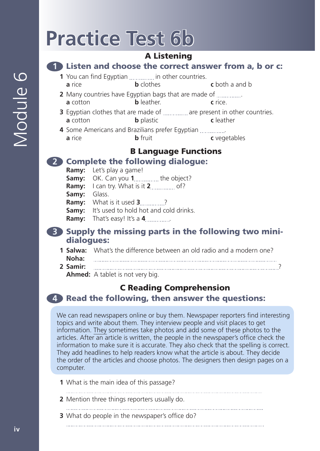# **Practice Test 6b**

### A Listening

#### **1** Listen and choose the correct answer from a, b or c:

- **1** You can find Egyptian ............... in other countries. **a** rice **b** clothes **c** both a and b
- **2** Many countries have Egyptian bags that are made of . **a** cotton **b** leather. **c** rice.
- **3** Egyptian clothes that are made of *marrourian* are present in other countries. **a** cotton **b** plastic **c** leather
- **4** Some Americans and Brazilians prefer Egyptian . **a** rice **b** fruit **c** vegetables

# B Language Functions

## **2** Complete the following dialogue:

- **Ramy:** Let's play a game!
- **Samy:** OK. Can you **1** *concrement* the object?
- **Ramy:** I can try. What is it **2** of?
- **Samy:** Glass.
- **Ramy:** What is it used **3** ...........?
- **Samy:** It's used to hold hot and cold drinks.
- **Ramy:** That's easy! It's a **4** ................

#### **3** Supply the missing parts in the following two minidialogues:

**1 Salwa:** What's the difference between an old radio and a modern one? **Noha: 2 Samir:** ? **Ahmed:** A tablet is not very big.

# C Reading Comprehension

#### **4** Read the following, then answer the questions:

We can read newspapers online or buy them. Newspaper reporters find interesting topics and write about them. They interview people and visit places to get information. They sometimes take photos and add some of these photos to the articles. After an article is written, the people in the newspaper's office check the information to make sure it is accurate. They also check that the spelling is correct. They add headlines to help readers know what the article is about. They decide the order of the articles and choose photos. The designers then design pages on a computer.

- **1** What is the main idea of this passage?
- 
- **2** Mention three things reporters usually do.
	-

**3** What do people in the newspaper's office do?